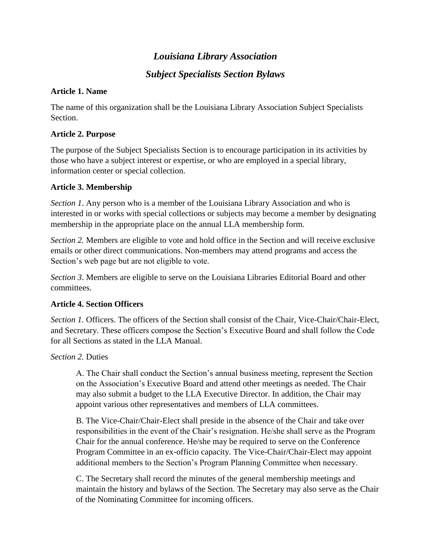# *Louisiana Library Association*

## *Subject Specialists Section Bylaws*

## **Article 1. Name**

The name of this organization shall be the Louisiana Library Association Subject Specialists Section.

#### **Article 2. Purpose**

The purpose of the Subject Specialists Section is to encourage participation in its activities by those who have a subject interest or expertise, or who are employed in a special library, information center or special collection.

## **Article 3. Membership**

*Section 1*. Any person who is a member of the Louisiana Library Association and who is interested in or works with special collections or subjects may become a member by designating membership in the appropriate place on the annual LLA membership form.

*Section 2.* Members are eligible to vote and hold office in the Section and will receive exclusive emails or other direct communications. Non-members may attend programs and access the Section's web page but are not eligible to vote.

*Section 3.* Members are eligible to serve on the Louisiana Libraries Editorial Board and other committees.

## **Article 4. Section Officers**

*Section 1.* Officers. The officers of the Section shall consist of the Chair, Vice-Chair/Chair-Elect, and Secretary. These officers compose the Section's Executive Board and shall follow the Code for all Sections as stated in the LLA Manual.

*Section 2.* Duties

A. The Chair shall conduct the Section's annual business meeting, represent the Section on the Association's Executive Board and attend other meetings as needed. The Chair may also submit a budget to the LLA Executive Director. In addition, the Chair may appoint various other representatives and members of LLA committees.

B. The Vice-Chair/Chair-Elect shall preside in the absence of the Chair and take over responsibilities in the event of the Chair's resignation. He/she shall serve as the Program Chair for the annual conference. He/she may be required to serve on the Conference Program Committee in an ex-officio capacity. The Vice-Chair/Chair-Elect may appoint additional members to the Section's Program Planning Committee when necessary.

C. The Secretary shall record the minutes of the general membership meetings and maintain the history and bylaws of the Section. The Secretary may also serve as the Chair of the Nominating Committee for incoming officers.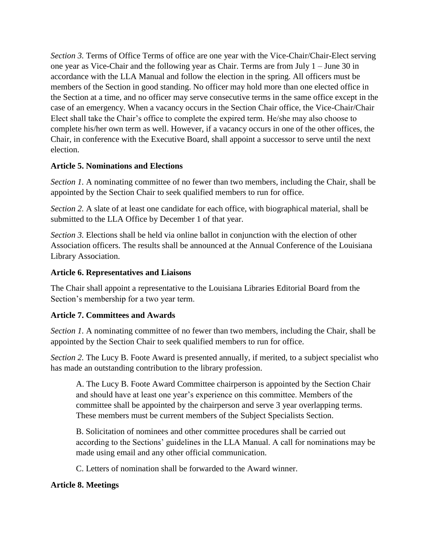*Section 3.* Terms of Office Terms of office are one year with the Vice-Chair/Chair-Elect serving one year as Vice-Chair and the following year as Chair. Terms are from July 1 – June 30 in accordance with the LLA Manual and follow the election in the spring. All officers must be members of the Section in good standing. No officer may hold more than one elected office in the Section at a time, and no officer may serve consecutive terms in the same office except in the case of an emergency. When a vacancy occurs in the Section Chair office, the Vice-Chair/Chair Elect shall take the Chair's office to complete the expired term. He/she may also choose to complete his/her own term as well. However, if a vacancy occurs in one of the other offices, the Chair, in conference with the Executive Board, shall appoint a successor to serve until the next election.

#### **Article 5. Nominations and Elections**

*Section 1.* A nominating committee of no fewer than two members, including the Chair, shall be appointed by the Section Chair to seek qualified members to run for office.

*Section 2.* A slate of at least one candidate for each office, with biographical material, shall be submitted to the LLA Office by December 1 of that year.

*Section 3.* Elections shall be held via online ballot in conjunction with the election of other Association officers. The results shall be announced at the Annual Conference of the Louisiana Library Association.

## **Article 6. Representatives and Liaisons**

The Chair shall appoint a representative to the Louisiana Libraries Editorial Board from the Section's membership for a two year term.

## **Article 7. Committees and Awards**

*Section 1.* A nominating committee of no fewer than two members, including the Chair, shall be appointed by the Section Chair to seek qualified members to run for office.

*Section 2.* The Lucy B. Foote Award is presented annually, if merited, to a subject specialist who has made an outstanding contribution to the library profession.

A. The Lucy B. Foote Award Committee chairperson is appointed by the Section Chair and should have at least one year's experience on this committee. Members of the committee shall be appointed by the chairperson and serve 3 year overlapping terms. These members must be current members of the Subject Specialists Section.

B. Solicitation of nominees and other committee procedures shall be carried out according to the Sections' guidelines in the LLA Manual. A call for nominations may be made using email and any other official communication.

C. Letters of nomination shall be forwarded to the Award winner.

## **Article 8. Meetings**